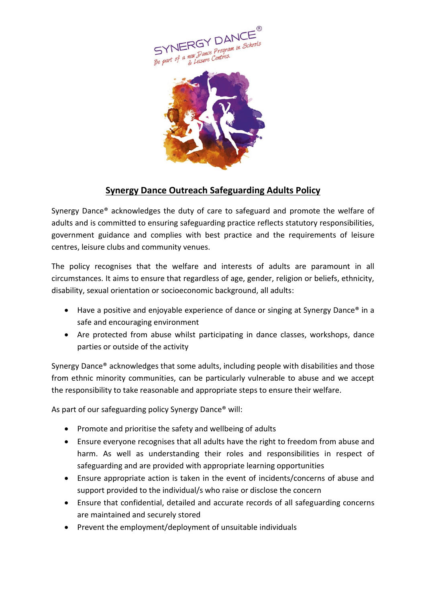



## **Synergy Dance Outreach Safeguarding Adults Policy**

Synergy Dance® acknowledges the duty of care to safeguard and promote the welfare of adults and is committed to ensuring safeguarding practice reflects statutory responsibilities, government guidance and complies with best practice and the requirements of leisure centres, leisure clubs and community venues.

The policy recognises that the welfare and interests of adults are paramount in all circumstances. It aims to ensure that regardless of age, gender, religion or beliefs, ethnicity, disability, sexual orientation or socioeconomic background, all adults:

- Have a positive and enjoyable experience of dance or singing at Synergy Dance<sup>®</sup> in a safe and encouraging environment
- Are protected from abuse whilst participating in dance classes, workshops, dance parties or outside of the activity

Synergy Dance® acknowledges that some adults, including people with disabilities and those from ethnic minority communities, can be particularly vulnerable to abuse and we accept the responsibility to take reasonable and appropriate steps to ensure their welfare.

As part of our safeguarding policy Synergy Dance® will:

- Promote and prioritise the safety and wellbeing of adults
- Ensure everyone recognises that all adults have the right to freedom from abuse and harm. As well as understanding their roles and responsibilities in respect of safeguarding and are provided with appropriate learning opportunities
- Ensure appropriate action is taken in the event of incidents/concerns of abuse and support provided to the individual/s who raise or disclose the concern
- Ensure that confidential, detailed and accurate records of all safeguarding concerns are maintained and securely stored
- Prevent the employment/deployment of unsuitable individuals